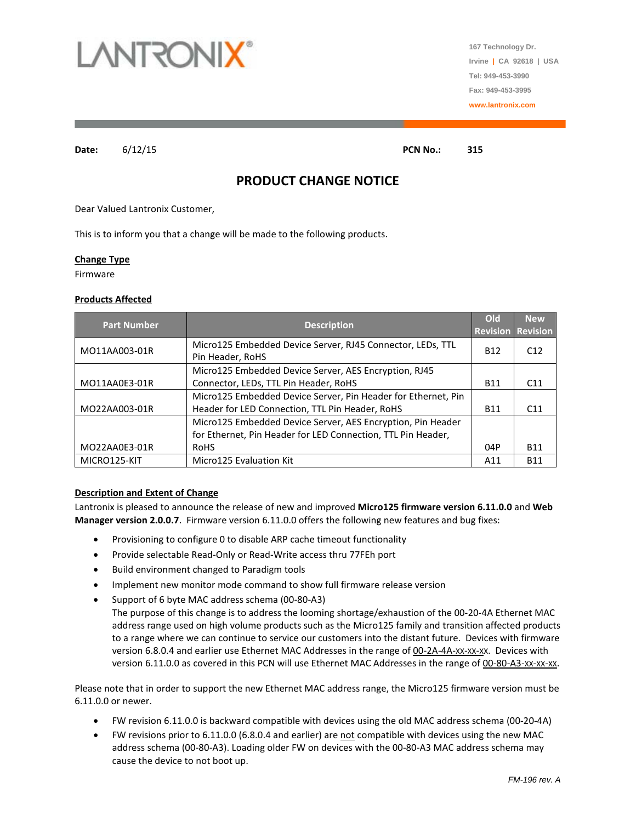

**167 Technology Dr. Irvine | CA 92618 | USA Tel: 949-453-3990 Fax: 949-453-3995 www.lantronix.com**

**Date:** 6/12/15 **PCN No.: 315**

# **PRODUCT CHANGE NOTICE**

Dear Valued Lantronix Customer,

This is to inform you that a change will be made to the following products.

### **Change Type**

Firmware

### **Products Affected**

| <b>Part Number</b> | <b>Description</b>                                                             | Old        | <b>New</b><br><b>Revision Revision</b> |
|--------------------|--------------------------------------------------------------------------------|------------|----------------------------------------|
| MO11AA003-01R      | Micro125 Embedded Device Server, RJ45 Connector, LEDs, TTL<br>Pin Header, RoHS | <b>B12</b> | C <sub>12</sub>                        |
|                    | Micro125 Embedded Device Server, AES Encryption, RJ45                          |            |                                        |
| MO11AA0E3-01R      | Connector, LEDs, TTL Pin Header, RoHS                                          | <b>B11</b> | C <sub>11</sub>                        |
|                    | Micro125 Embedded Device Server, Pin Header for Ethernet, Pin                  |            |                                        |
| MO22AA003-01R      | Header for LED Connection, TTL Pin Header, RoHS                                | <b>B11</b> | C <sub>11</sub>                        |
|                    | Micro125 Embedded Device Server, AES Encryption, Pin Header                    |            |                                        |
|                    | for Ethernet, Pin Header for LED Connection, TTL Pin Header,                   |            |                                        |
| MO22AA0E3-01R      | RoHS                                                                           | 04P        | <b>B11</b>                             |
| MICRO125-KIT       | <b>Micro125 Evaluation Kit</b>                                                 | A11        | <b>B11</b>                             |

### **Description and Extent of Change**

Lantronix is pleased to announce the release of new and improved **Micro125 firmware version 6.11.0.0** and **Web Manager version 2.0.0.7**. Firmware version 6.11.0.0 offers the following new features and bug fixes:

- Provisioning to configure 0 to disable ARP cache timeout functionality
- Provide selectable Read-Only or Read-Write access thru 77FEh port
- Build environment changed to Paradigm tools
- Implement new monitor mode command to show full firmware release version
- Support of 6 byte MAC address schema (00-80-A3)
	- The purpose of this change is to address the looming shortage/exhaustion of the 00-20-4A Ethernet MAC address range used on high volume products such as the Micro125 family and transition affected products to a range where we can continue to service our customers into the distant future. Devices with firmware version 6.8.0.4 and earlier use Ethernet MAC Addresses in the range of 00-2A-4A-XX-XX-XX. Devices with version 6.11.0.0 as covered in this PCN will use Ethernet MAC Addresses in the range of 00-80-A3-XX-XX-XX.

Please note that in order to support the new Ethernet MAC address range, the Micro125 firmware version must be 6.11.0.0 or newer.

- FW revision 6.11.0.0 is backward compatible with devices using the old MAC address schema (00-20-4A)
- FW revisions prior to 6.11.0.0 (6.8.0.4 and earlier) are not compatible with devices using the new MAC address schema (00-80-A3). Loading older FW on devices with the 00-80-A3 MAC address schema may cause the device to not boot up.